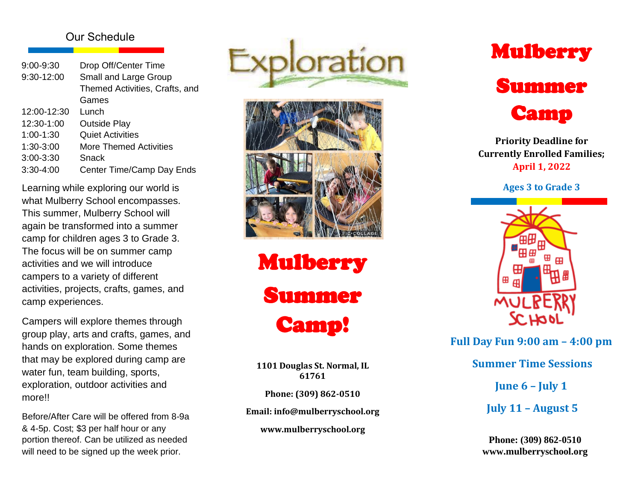# Our Schedule

| 9:00-9:30     | Drop Off/Center Time           |
|---------------|--------------------------------|
| 9:30-12:00    | Small and Large Group          |
|               | Themed Activities, Crafts, and |
|               | Games                          |
| 12:00-12:30   | Lunch                          |
| 12:30-1:00    | <b>Outside Play</b>            |
| $1:00-1:30$   | <b>Quiet Activities</b>        |
| 1:30-3:00     | <b>More Themed Activities</b>  |
| $3:00 - 3:30$ | Snack                          |
| $3:30 - 4:00$ | Center Time/Camp Day Ends      |

Learning while exploring our world is what Mulberry School encompasses. This summer, Mulberry School will again be transformed into a summer camp for children ages 3 to Grade 3. The focus will be on summer camp activities and we will introduce campers to a variety of different activities, projects, crafts, games, and camp experiences.

Campers will explore themes through group play, arts and crafts, games, and hands on exploration. Some themes that may be explored during camp are water fun, team building, sports, exploration, outdoor activities and more!!

Before/After Care will be offered from 8 - 9 a & 4 -5p. Cost; \$3 per half hour or any portion thereof. Can be utilized as needed will need to be signed up the week prior.





Mulberry Summer Camp!

**1101 Douglas St. Normal, IL 61761**

**Phone: (309) 862 -0510**

**Email: info@mulberryschool.org**

**www.mulberryschool.org**



**Priority Deadline for Currently Enrolled Families; April 1, 20 2 2**

**Ages 3 to Grade 3**



**Full Day Fun 9:00 a m – 4:00 p m**

**Summer Time Sessions** 

**June 6 – July 1**

**July 1 1 – August 5**

**Phone: (309) 862 -0510 www.mulberryschool.org**